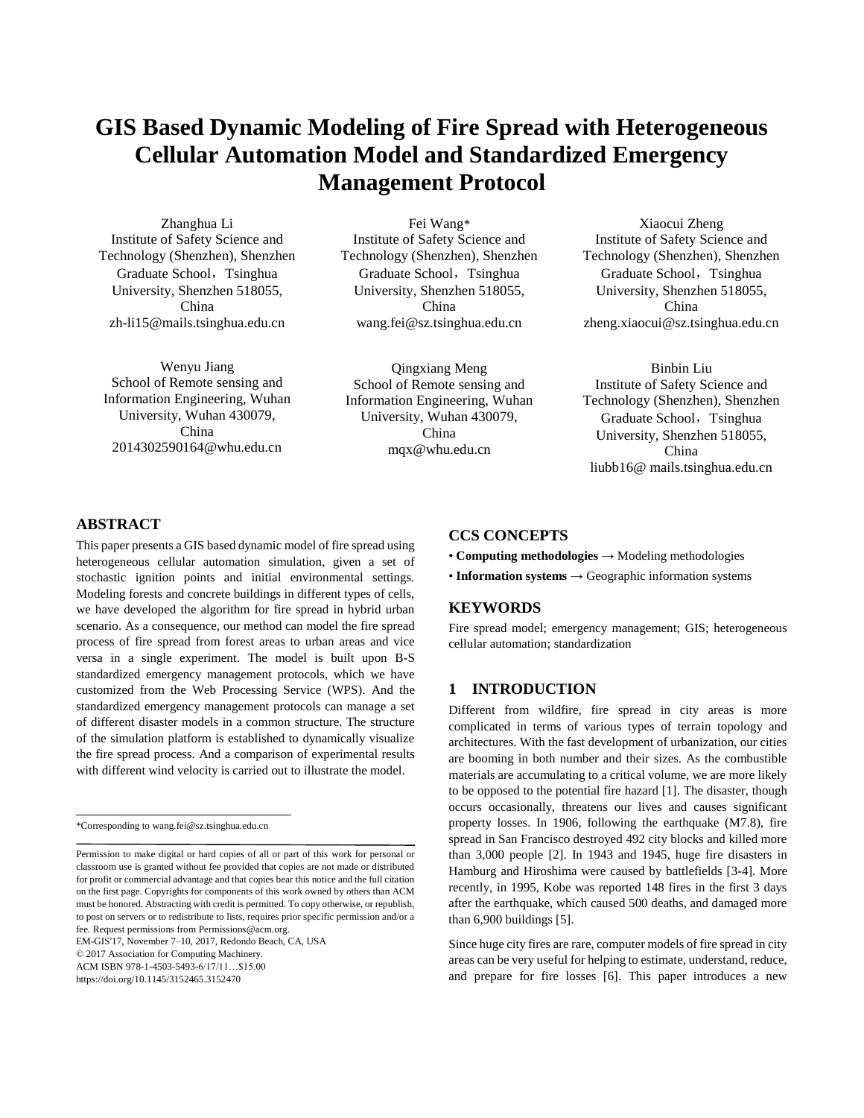# **GIS Based Dynamic Modeling of Fire Spread with Heterogeneous Cellular Automation Model and Standardized Emergency Management Protocol**

Zhanghua Li Institute of Safety Science and Technology (Shenzhen), Shenzhen Graduate School, Tsinghua University, Shenzhen 518055, China zh-li15@mails.tsinghua.edu.cn

Wenyu Jiang School of Remote sensing and Information Engineering, Wuhan University, Wuhan 430079, China 2014302590164@whu.edu.cn

Fei Wang\* Institute of Safety Science and Technology (Shenzhen), Shenzhen Graduate School, Tsinghua University, Shenzhen 518055, China [wang.fei@sz.tsinghua.edu.cn](mailto:wang.fei@sz.tsinghua.edu.cn)

Qingxiang Meng School of Remote sensing and Information Engineering, Wuhan University, Wuhan 430079, China mqx@whu.edu.cn

Xiaocui Zheng Institute of Safety Science and Technology (Shenzhen), Shenzhen Graduate School, Tsinghua University, Shenzhen 518055, China [zheng.xiaocui@sz.tsinghua.edu.cn](mailto:zheng.xiaocui@sz.tsinghua.edu.cn)

Binbin Liu Institute of Safety Science and Technology (Shenzhen), Shenzhen Graduate School, Tsinghua University, Shenzhen 518055, China liubb16@ mails.tsinghua.edu.cn

# **ABSTRACT**

This paper presents a GIS based dynamic model of fire spread using heterogeneous cellular automation simulation, given a set of stochastic ignition points and initial environmental settings. Modeling forests and concrete buildings in different types of cells, we have developed the algorithm for fire spread in hybrid urban scenario. As a consequence, our method can model the fire spread process of fire spread from forest areas to urban areas and vice versa in a single experiment. The model is built upon B-S standardized emergency management protocols, which we have customized from the Web Processing Service (WPS). And the standardized emergency management protocols can manage a set of different disaster models in a common structure. The structure of the simulation platform is established to dynamically visualize the fire spread process. And a comparison of experimental results with different wind velocity is carried out to illustrate the model.

EM-GIS'17, November 7–10, 2017, Redondo Beach, CA, USA

© 2017 Association for Computing Machinery.

ACM ISBN 978-1-4503-5493-6/17/11…\$15.00

<https://doi.org/10.1145/3152465.3152470>

# **CCS CONCEPTS**

- **Computing methodologies** → Modeling methodologies
- **Information systems** → Geographic information systems

# **KEYWORDS**

Fire spread model; emergency management; GIS; heterogeneous cellular automation; standardization

## **1 INTRODUCTION**

Different from wildfire, fire spread in city areas is more complicated in terms of various types of terrain topology and architectures. With the fast development of urbanization, our cities are booming in both number and their sizes. As the combustible materials are accumulating to a critical volume, we are more likely to be opposed to the potential fire hazard [1]. The disaster, though occurs occasionally, threatens our lives and causes significant property losses. In 1906, following the earthquake (M7.8), fire spread in San Francisco destroyed 492 city blocks and killed more than 3,000 people [2]. In 1943 and 1945, huge fire disasters in Hamburg and Hiroshima were caused by battlefields [3-4]. More recently, in 1995, Kobe was reported 148 fires in the first 3 days after the earthquake, which caused 500 deaths, and damaged more than 6,900 buildings [5].

Since huge city fires are rare, computer models of fire spread in city areas can be very useful for helping to estimate, understand, reduce, and prepare for fire losses [6]. This paper introduces a new

<sup>\*</sup>Corresponding t[o wang.fei@sz.tsinghua.edu.cn](mailto:wang.fei@sz.tsinghua.edu.cn)

Permission to make digital or hard copies of all or part of this work for personal or classroom use is granted without fee provided that copies are not made or distributed for profit or commercial advantage and that copies bear this notice and the full citation on the first page. Copyrights for components of this work owned by others than ACM must be honored. Abstracting with credit is permitted. To copy otherwise, or republish, to post on servers or to redistribute to lists, requires prior specific permission and/or a fee. Request permissions from [Permissions@acm.org.](mailto:Permissions@acm.org)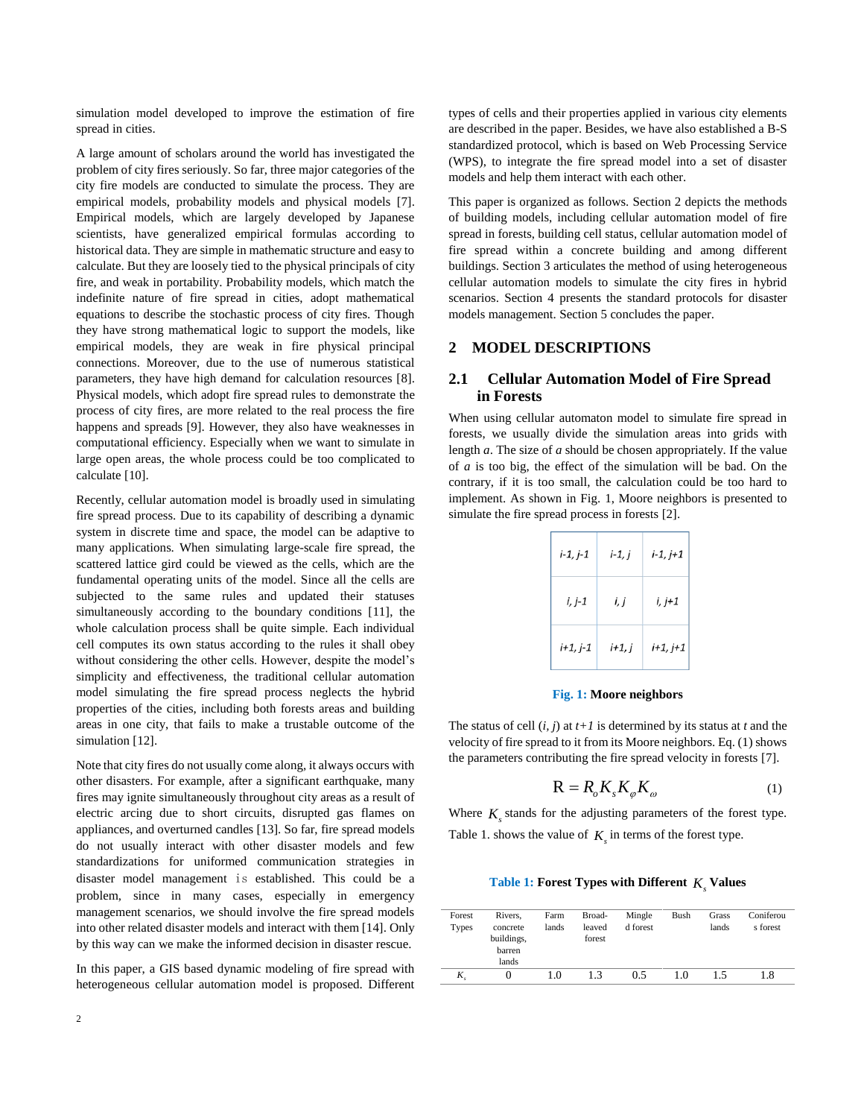simulation model developed to improve the estimation of fire spread in cities.

A large amount of scholars around the world has investigated the problem of city fires seriously. So far, three major categories of the city fire models are conducted to simulate the process. They are empirical models, probability models and physical models [7]. Empirical models, which are largely developed by Japanese scientists, have generalized empirical formulas according to historical data. They are simple in mathematic structure and easy to calculate. But they are loosely tied to the physical principals of city fire, and weak in portability. Probability models, which match the indefinite nature of fire spread in cities, adopt mathematical equations to describe the stochastic process of city fires. Though they have strong mathematical logic to support the models, like empirical models, they are weak in fire physical principal connections. Moreover, due to the use of numerous statistical parameters, they have high demand for calculation resources [8]. Physical models, which adopt fire spread rules to demonstrate the process of city fires, are more related to the real process the fire happens and spreads [9]. However, they also have weaknesses in computational efficiency. Especially when we want to simulate in large open areas, the whole process could be too complicated to calculate [10].

Recently, cellular automation model is broadly used in simulating fire spread process. Due to its capability of describing a dynamic system in discrete time and space, the model can be adaptive to many applications. When simulating large-scale fire spread, the scattered lattice gird could be viewed as the cells, which are the fundamental operating units of the model. Since all the cells are subjected to the same rules and updated their statuses simultaneously according to the boundary conditions [11], the whole calculation process shall be quite simple. Each individual cell computes its own status according to the rules it shall obey without considering the other cells. However, despite the model's simplicity and effectiveness, the traditional cellular automation model simulating the fire spread process neglects the hybrid properties of the cities, including both forests areas and building areas in one city, that fails to make a trustable outcome of the simulation [12].

Note that city fires do not usually come along, it always occurs with other disasters. For example, after a significant earthquake, many fires may ignite simultaneously throughout city areas as a result of electric arcing due to short circuits, disrupted gas flames on appliances, and overturned candles [13]. So far, fire spread models do not usually interact with other disaster models and few standardizations for uniformed communication strategies in disaster model management is established. This could be a problem, since in many cases, especially in emergency management scenarios, we should involve the fire spread models into other related disaster models and interact with them [14]. Only by this way can we make the informed decision in disaster rescue.

In this paper, a GIS based dynamic modeling of fire spread with heterogeneous cellular automation model is proposed. Different This paper is organized as follows. Section 2 depicts the methods of building models, including cellular automation model of fire spread in forests, building cell status, cellular automation model of fire spread within a concrete building and among different buildings. Section 3 articulates the method of using heterogeneous cellular automation models to simulate the city fires in hybrid scenarios. Section 4 presents the standard protocols for disaster models management. Section 5 concludes the paper.

# **2 MODEL DESCRIPTIONS**

# **2.1 Cellular Automation Model of Fire Spread in Forests**

When using cellular automaton model to simulate fire spread in forests, we usually divide the simulation areas into grids with length *a*. The size of *a* should be chosen appropriately. If the value of *a* is too big, the effect of the simulation will be bad. On the contrary, if it is too small, the calculation could be too hard to implement. As shown in Fig. 1, Moore neighbors is presented to simulate the fire spread process in forests [2].

| i-1, j-1 | i-1, j | i-1, j+1 |  |  |
|----------|--------|----------|--|--|
| i, j-1   | i, j   | i, j+1   |  |  |
| i+1, j-1 | i+1, j | i+1, j+1 |  |  |

#### **Fig. 1: Moore neighbors**

The status of cell (*i, j*) at *t+1* is determined by its status at *t* and the velocity of fire spread to it from its Moore neighbors. Eq. (1) shows the parameters contributing the fire spread velocity in forests [7].

$$
R = R_o K_s K_\varphi K_\omega \tag{1}
$$

Where  $K<sub>s</sub>$  stands for the adjusting parameters of the forest type. Table 1. shows the value of  $K<sub>s</sub>$  in terms of the forest type.

## **Table 1: Forest Types with Different**  *K s* **Values**

| Forest<br>Types | Rivers,<br>concrete<br>buildings,<br>barren<br>lands | Farm<br>lands | Broad-<br>leaved<br>forest | Mingle<br>d forest | Bush | Grass<br>lands | Coniferou<br>s forest |
|-----------------|------------------------------------------------------|---------------|----------------------------|--------------------|------|----------------|-----------------------|
| Κ.              |                                                      | 1.0           | 13                         | 0.5                | 10   | 15             | 1.8                   |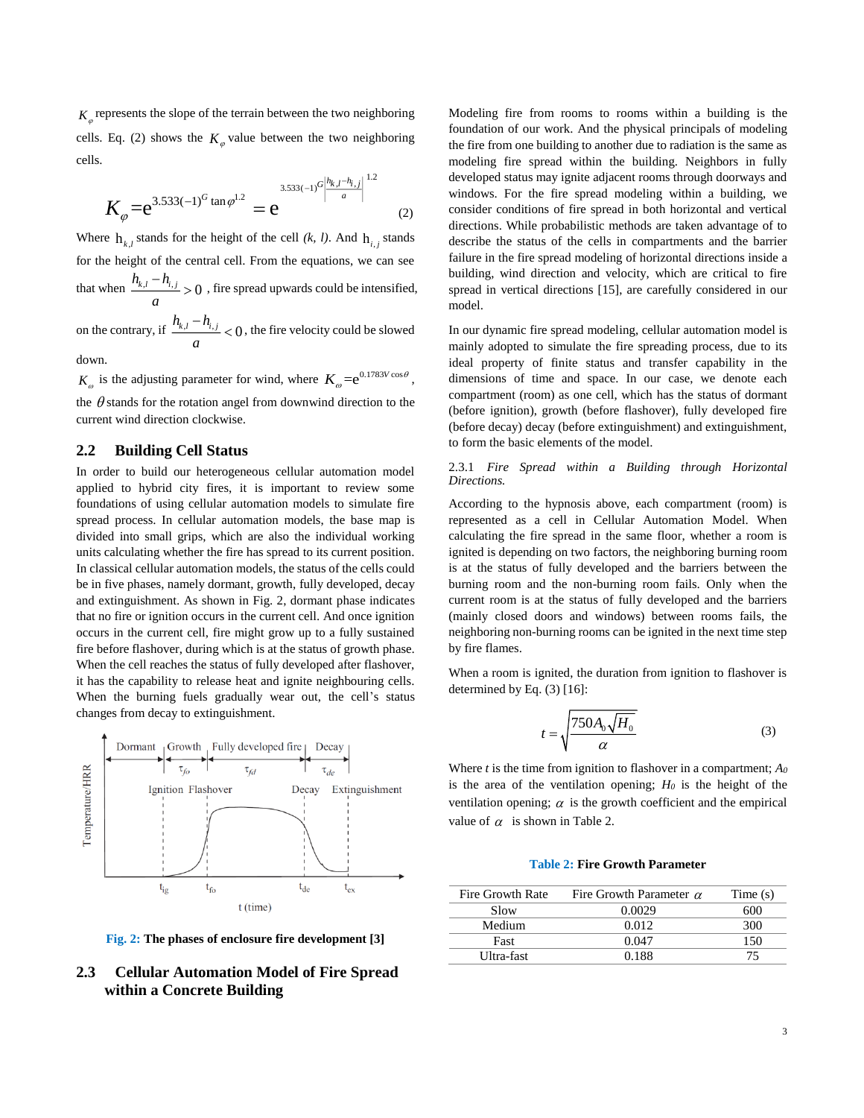$K_{\varphi}$  represents the slope of the terrain between the two neighboring cells. Eq. (2) shows the  $K_{\varphi}$  value between the two neighboring cells.

$$
K_{\varphi} = e^{3.533(-1)^{G} \tan \varphi^{1.2}} = e^{3.533(-1)^{G \left| \frac{h_{k,l} - h_{i,j}}{a} \right|^{1.2}}}
$$
(2)

Where  $h_{k,l}$  stands for the height of the cell *(k, l)*. And  $h_{i,j}$  stands for the height of the central cell. From the equations, we can see that when  $\frac{h_{k,l} - h_{i,j}}{h} > 0$ *a*  $-\frac{n_{i,j}}{n_{i,j}} > 0$ , fire spread upwards could be intensified,

on the contrary, if  $\frac{h_{k,l} - h_{i,j}}{g} < 0$ *a*  $-\frac{n_{i,j}}{2}$  < 0, the fire velocity could be slowed down.

 $K_{\omega}$  is the adjusting parameter for wind, where  $K_{\omega} = e^{0.1783V \cos \theta}$ , the  $\theta$  stands for the rotation angel from downwind direction to the current wind direction clockwise.

## **2.2 Building Cell Status**

In order to build our heterogeneous cellular automation model applied to hybrid city fires, it is important to review some foundations of using cellular automation models to simulate fire spread process. In cellular automation models, the base map is divided into small grips, which are also the individual working units calculating whether the fire has spread to its current position. In classical cellular automation models, the status of the cells could be in five phases, namely dormant, growth, fully developed, decay and extinguishment. As shown in Fig. 2, dormant phase indicates that no fire or ignition occurs in the current cell. And once ignition occurs in the current cell, fire might grow up to a fully sustained fire before flashover, during which is at the status of growth phase. When the cell reaches the status of fully developed after flashover, it has the capability to release heat and ignite neighbouring cells. When the burning fuels gradually wear out, the cell's status changes from decay to extinguishment.



**Fig. 2: The phases of enclosure fire development [3]**

# **2.3 Cellular Automation Model of Fire Spread within a Concrete Building**

Modeling fire from rooms to rooms within a building is the foundation of our work. And the physical principals of modeling the fire from one building to another due to radiation is the same as modeling fire spread within the building. Neighbors in fully developed status may ignite adjacent rooms through doorways and windows. For the fire spread modeling within a building, we consider conditions of fire spread in both horizontal and vertical directions. While probabilistic methods are taken advantage of to describe the status of the cells in compartments and the barrier failure in the fire spread modeling of horizontal directions inside a building, wind direction and velocity, which are critical to fire spread in vertical directions [15], are carefully considered in our model.

In our dynamic fire spread modeling, cellular automation model is mainly adopted to simulate the fire spreading process, due to its ideal property of finite status and transfer capability in the dimensions of time and space. In our case, we denote each compartment (room) as one cell, which has the status of dormant (before ignition), growth (before flashover), fully developed fire (before decay) decay (before extinguishment) and extinguishment, to form the basic elements of the model.

#### 2.3.1 *Fire Spread within a Building through Horizontal Directions.*

According to the hypnosis above, each compartment (room) is represented as a cell in Cellular Automation Model. When calculating the fire spread in the same floor, whether a room is ignited is depending on two factors, the neighboring burning room is at the status of fully developed and the barriers between the burning room and the non-burning room fails. Only when the current room is at the status of fully developed and the barriers (mainly closed doors and windows) between rooms fails, the neighboring non-burning rooms can be ignited in the next time step by fire flames.

When a room is ignited, the duration from ignition to flashover is determined by Eq. (3) [16]:

$$
t = \sqrt{\frac{750A_0\sqrt{H_0}}{\alpha}}\tag{3}
$$

Where *t* is the time from ignition to flashover in a compartment; *A<sup>0</sup>* is the area of the ventilation opening;  $H_0$  is the height of the ventilation opening;  $\alpha$  is the growth coefficient and the empirical value of  $\alpha$  is shown in Table 2.

#### **Table 2: Fire Growth Parameter**

| Fire Growth Rate | Fire Growth Parameter $\alpha$ | Time $(s)$ |
|------------------|--------------------------------|------------|
| Slow             | 0.0029                         | 600        |
| Medium           | 0.012                          | 300        |
| Fast             | 0.047                          | 150        |
| Ultra-fast       | 0.188                          | 75         |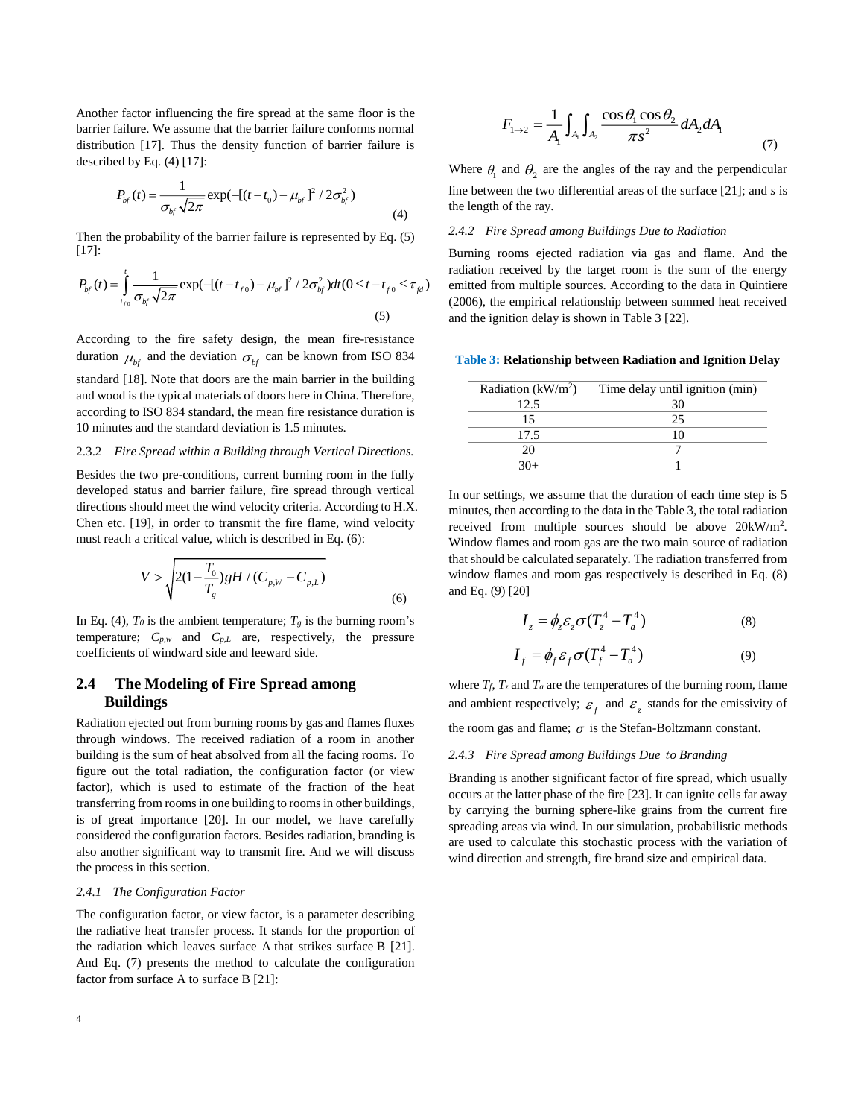Another factor influencing the fire spread at the same floor is the barrier failure. We assume that the barrier failure conforms normal distribution [17]. Thus the density function of barrier failure is described by Eq. (4) [17]:

$$
P_{bf}(t) = \frac{1}{\sigma_{bf} \sqrt{2\pi}} \exp(-[(t - t_0) - \mu_{bf}^T)^2 / 2\sigma_{bf}^2)
$$
\n(4)

Then the probability of the barrier failure is represented by Eq. (5) [17]:

$$
P_{bf}(t) = \int_{t_{f0}}^{t} \frac{1}{\sigma_{bf}\sqrt{2\pi}} \exp(-[(t - t_{f0}) - \mu_{bf}^{\prime}]^{2} / 2\sigma_{bf}^{2}) dt (0 \le t - t_{f0} \le \tau_{fd})
$$
\n(5)

According to the fire safety design, the mean fire-resistance duration  $\mu_{bf}$  and the deviation  $\sigma_{bf}$  can be known from ISO 834 standard [18]. Note that doors are the main barrier in the building and wood is the typical materials of doors here in China. Therefore, according to ISO 834 standard, the mean fire resistance duration is 10 minutes and the standard deviation is 1.5 minutes.

#### 2.3.2 *Fire Spread within a Building through Vertical Directions.*

Besides the two pre-conditions, current burning room in the fully developed status and barrier failure, fire spread through vertical directions should meet the wind velocity criteria. According to H.X. Chen etc. [19], in order to transmit the fire flame, wind velocity must reach a critical value, which is described in Eq. (6):

$$
V > \sqrt{2(1 - \frac{T_0}{T_g})gH/(C_{p,W} - C_{p,L})}
$$
\n(6)

In Eq. (4),  $T_0$  is the ambient temperature;  $T_g$  is the burning room's temperature;  $C_{p,w}$  and  $C_{p,L}$  are, respectively, the pressure coefficients of windward side and leeward side.

# **2.4 The Modeling of Fire Spread among Buildings**

Radiation ejected out from burning rooms by gas and flames fluxes through windows. The received radiation of a room in another building is the sum of heat absolved from all the facing rooms. To figure out the total radiation, the configuration factor (or view factor), which is used to estimate of the fraction of the heat transferring from rooms in one building to rooms in other buildings, is of great importance [20]. In our model, we have carefully considered the configuration factors. Besides radiation, branding is also another significant way to transmit fire. And we will discuss the process in this section.

#### *2.4.1 The Configuration Factor*

The configuration factor, or view factor, is a parameter describing the [radiative heat transfer](https://en.wikipedia.org/wiki/Radiative_heat_transfer) process. It stands for the proportion of the radiation which leaves surface A that strikes surface B [21]. And Eq. (7) presents the method to calculate the configuration factor from surface A to surface B [21]:

$$
F_{1\to 2} = \frac{1}{A_1} \int_{A_1} \int_{A_2} \frac{\cos \theta_1 \cos \theta_2}{\pi s^2} dA_2 dA_1
$$
 (7)

Where  $\theta_1$  and  $\theta_2$  are the angles of the ray and the perpendicular line between the two differential areas of the surface [21]; and *s* is the length of the ray.

#### *2.4.2 Fire Spread among Buildings Due to Radiation*

Burning rooms ejected radiation via gas and flame. And the radiation received by the target room is the sum of the energy emitted from multiple sources. According to the data in Quintiere (2006), the empirical relationship between summed heat received and the ignition delay is shown in Table 3 [22].

#### **Table 3: Relationship between Radiation and Ignition Delay**

| Radiation $(kW/m2)$ | Time delay until ignition (min) |
|---------------------|---------------------------------|
| 12.5                | 30                              |
| 15                  | 25                              |
| 17.5                | 10                              |
| 20                  |                                 |
|                     |                                 |

In our settings, we assume that the duration of each time step is 5 minutes, then according to the data in the Table 3, the total radiation received from multiple sources should be above  $20 \text{kW/m}^2$ . Window flames and room gas are the two main source of radiation that should be calculated separately. The radiation transferred from window flames and room gas respectively is described in Eq. (8) and Eq. (9) [20]

$$
I_z = \phi_z \varepsilon_z \sigma (T_z^4 - T_a^4) \tag{8}
$$

$$
I_f = \phi_f \varepsilon_f \sigma (T_f^4 - T_a^4) \tag{9}
$$

where  $T_f$ ,  $T_z$  and  $T_a$  are the temperatures of the burning room, flame and ambient respectively;  $\varepsilon_f$  and  $\varepsilon_z$  stands for the emissivity of

the room gas and flame;  $\sigma$  is the Stefan-Boltzmann constant.

#### *2.4.3 Fire Spread among Buildings Due* t*o Branding*

Branding is another significant factor of fire spread, which usually occurs at the latter phase of the fire [23]. It can ignite cells far away by carrying the burning sphere-like grains from the current fire spreading areas via wind. In our simulation, probabilistic methods are used to calculate this stochastic process with the variation of wind direction and strength, fire brand size and empirical data.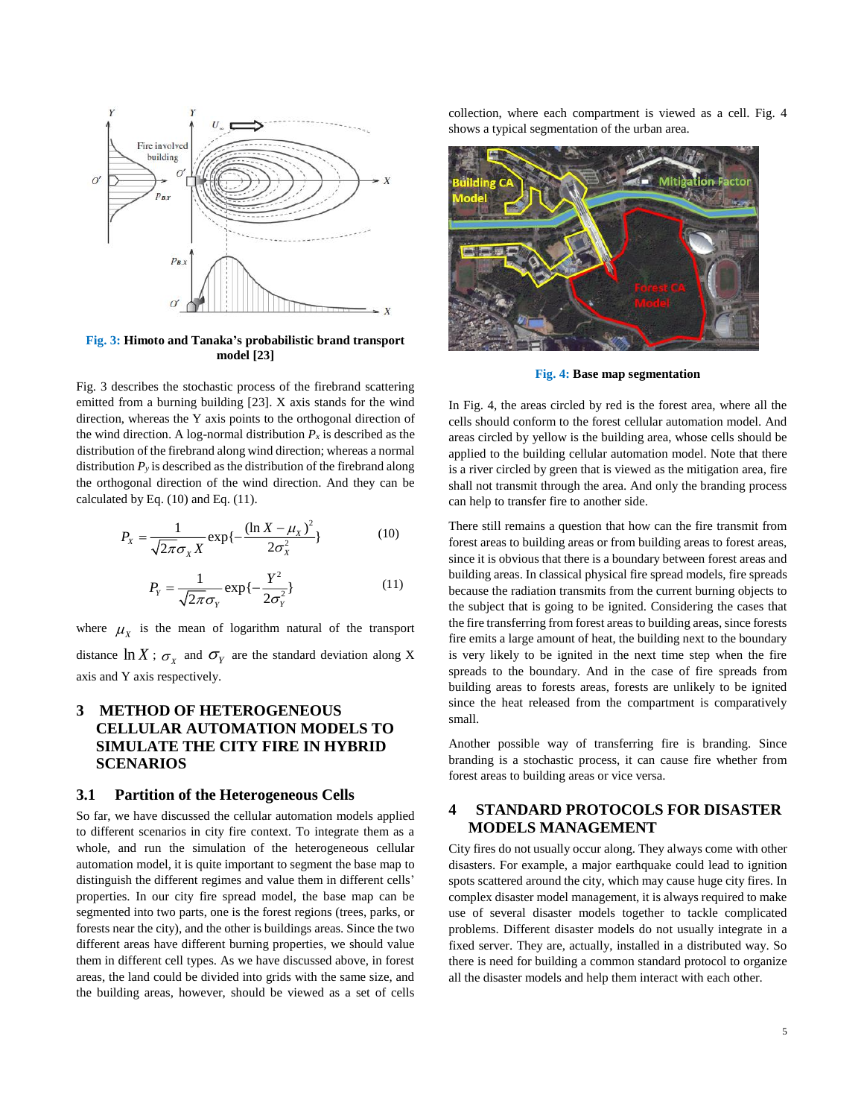

**Fig. 3: Himoto and Tanaka's probabilistic brand transport model [23]**

Fig. 3 describes the stochastic process of the firebrand scattering emitted from a burning building [23]. X axis stands for the wind direction, whereas the Y axis points to the orthogonal direction of the wind direction. A log-normal distribution  $P_x$  is described as the distribution of the firebrand along wind direction; whereas a normal distribution *P<sup>y</sup>* is described as the distribution of the firebrand along the orthogonal direction of the wind direction. And they can be calculated by Eq.  $(10)$  and Eq.  $(11)$ .

$$
P_{X} = \frac{1}{\sqrt{2\pi}\sigma_{X}X} \exp\{-\frac{(\ln X - \mu_{X})^{2}}{2\sigma_{X}^{2}}\}
$$
(10)

$$
P_Y = \frac{1}{\sqrt{2\pi}\sigma_Y} \exp\{-\frac{Y^2}{2\sigma_Y^2}\}\tag{11}
$$

where  $\mu_X$  is the mean of logarithm natural of the transport distance  $\ln X$ ;  $\sigma_X$  and  $\sigma_Y$  are the standard deviation along X axis and Y axis respectively.

# **3 METHOD OF HETEROGENEOUS CELLULAR AUTOMATION MODELS TO SIMULATE THE CITY FIRE IN HYBRID SCENARIOS**

## **3.1 Partition of the Heterogeneous Cells**

So far, we have discussed the cellular automation models applied to different scenarios in city fire context. To integrate them as a whole, and run the simulation of the heterogeneous cellular automation model, it is quite important to segment the base map to distinguish the different regimes and value them in different cells' properties. In our city fire spread model, the base map can be segmented into two parts, one is the forest regions (trees, parks, or forests near the city), and the other is buildings areas. Since the two different areas have different burning properties, we should value them in different cell types. As we have discussed above, in forest areas, the land could be divided into grids with the same size, and the building areas, however, should be viewed as a set of cells collection, where each compartment is viewed as a cell. Fig. 4 shows a typical segmentation of the urban area.



**Fig. 4: Base map segmentation**

In Fig. 4, the areas circled by red is the forest area, where all the cells should conform to the forest cellular automation model. And areas circled by yellow is the building area, whose cells should be applied to the building cellular automation model. Note that there is a river circled by green that is viewed as the mitigation area, fire shall not transmit through the area. And only the branding process can help to transfer fire to another side.

There still remains a question that how can the fire transmit from forest areas to building areas or from building areas to forest areas, since it is obvious that there is a boundary between forest areas and building areas. In classical physical fire spread models, fire spreads because the radiation transmits from the current burning objects to the subject that is going to be ignited. Considering the cases that the fire transferring from forest areas to building areas, since forests fire emits a large amount of heat, the building next to the boundary is very likely to be ignited in the next time step when the fire spreads to the boundary. And in the case of fire spreads from building areas to forests areas, forests are unlikely to be ignited since the heat released from the compartment is comparatively small.

Another possible way of transferring fire is branding. Since branding is a stochastic process, it can cause fire whether from forest areas to building areas or vice versa.

# **4 STANDARD PROTOCOLS FOR DISASTER MODELS MANAGEMENT**

City fires do not usually occur along. They always come with other disasters. For example, a major earthquake could lead to ignition spots scattered around the city, which may cause huge city fires. In complex disaster model management, it is always required to make use of several disaster models together to tackle complicated problems. Different disaster models do not usually integrate in a fixed server. They are, actually, installed in a distributed way. So there is need for building a common standard protocol to organize all the disaster models and help them interact with each other.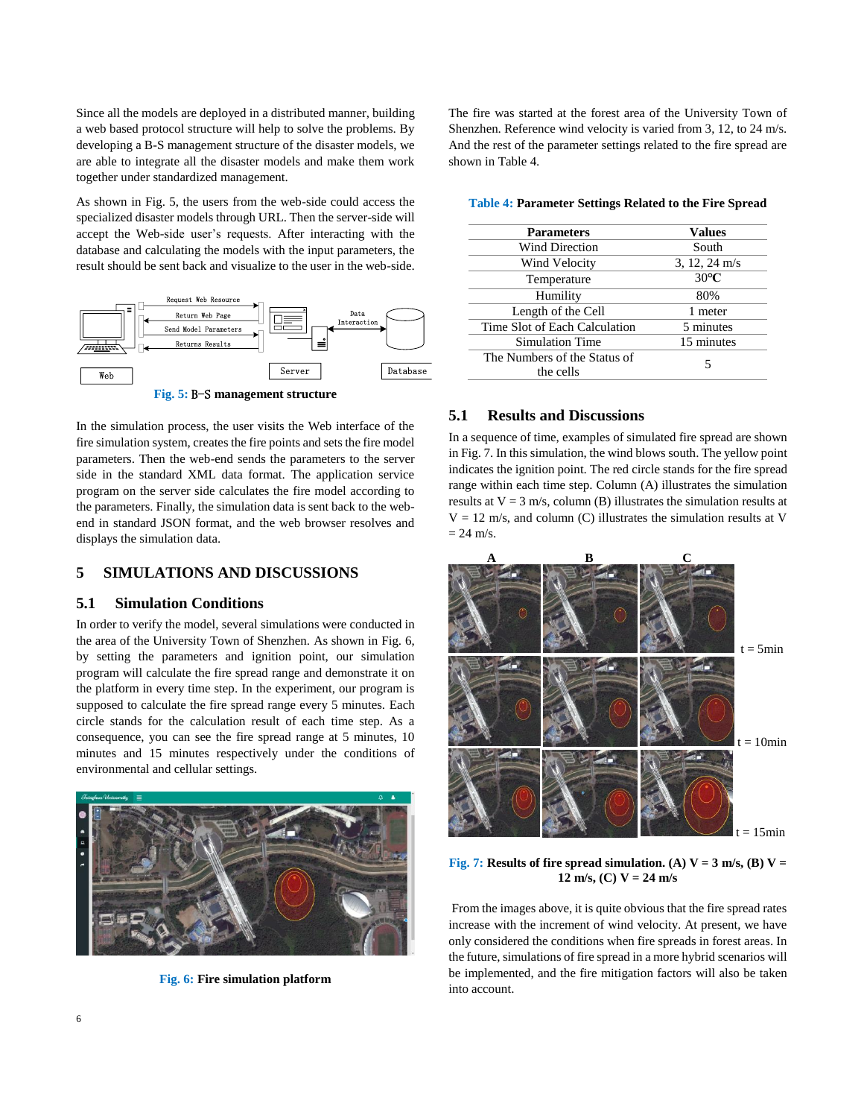Since all the models are deployed in a distributed manner, building a web based protocol structure will help to solve the problems. By developing a B-S management structure of the disaster models, we are able to integrate all the disaster models and make them work together under standardized management.

As shown in Fig. 5, the users from the web-side could access the specialized disaster models through URL. Then the server-side will accept the Web-side user's requests. After interacting with the database and calculating the models with the input parameters, the result should be sent back and visualize to the user in the web-side.



**Fig. 5:** B-S **management structure**

In the simulation process, the user visits the Web interface of the fire simulation system, creates the fire points and sets the fire model parameters. Then the web-end sends the parameters to the server side in the standard XML data format. The application service program on the server side calculates the fire model according to the parameters. Finally, the simulation data is sent back to the webend in standard JSON format, and the web browser resolves and displays the simulation data.

# **5 SIMULATIONS AND DISCUSSIONS**

## **5.1 Simulation Conditions**

In order to verify the model, several simulations were conducted in the area of the University Town of Shenzhen. As shown in Fig. 6, by setting the parameters and ignition point, our simulation program will calculate the fire spread range and demonstrate it on the platform in every time step. In the experiment, our program is supposed to calculate the fire spread range every 5 minutes. Each circle stands for the calculation result of each time step. As a consequence, you can see the fire spread range at 5 minutes, 10 minutes and 15 minutes respectively under the conditions of environmental and cellular settings.



**Fig. 6: Fire simulation platform**

The fire was started at the forest area of the University Town of Shenzhen. Reference wind velocity is varied from 3, 12, to 24 m/s. And the rest of the parameter settings related to the fire spread are shown in Table 4.

|  |  | <b>Table 4: Parameter Settings Related to the Fire Spread</b> |  |  |  |  |  |  |  |
|--|--|---------------------------------------------------------------|--|--|--|--|--|--|--|
|--|--|---------------------------------------------------------------|--|--|--|--|--|--|--|

| <b>Parameters</b>             | <b>Values</b>           |  |  |  |
|-------------------------------|-------------------------|--|--|--|
| <b>Wind Direction</b>         | South                   |  |  |  |
| Wind Velocity                 | $3, 12, 24 \text{ m/s}$ |  |  |  |
| Temperature                   | $30^{\circ}$ C          |  |  |  |
| Humility                      | 80%                     |  |  |  |
| Length of the Cell            | 1 meter                 |  |  |  |
| Time Slot of Each Calculation | 5 minutes               |  |  |  |
| Simulation Time               | 15 minutes              |  |  |  |
| The Numbers of the Status of  | 5                       |  |  |  |
| the cells                     |                         |  |  |  |

### **5.1 Results and Discussions**

In a sequence of time, examples of simulated fire spread are shown in Fig. 7. In this simulation, the wind blows south. The yellow point indicates the ignition point. The red circle stands for the fire spread range within each time step. Column (A) illustrates the simulation results at  $V = 3$  m/s, column (B) illustrates the simulation results at  $V = 12$  m/s, and column (C) illustrates the simulation results at V  $= 24$  m/s.



## **Fig. 7:** Results of fire spread simulation. (A)  $V = 3$  m/s, (B)  $V =$ **12 m/s, (C) V = 24 m/s**

From the images above, it is quite obvious that the fire spread rates increase with the increment of wind velocity. At present, we have only considered the conditions when fire spreads in forest areas. In the future, simulations of fire spread in a more hybrid scenarios will be implemented, and the fire mitigation factors will also be taken into account.